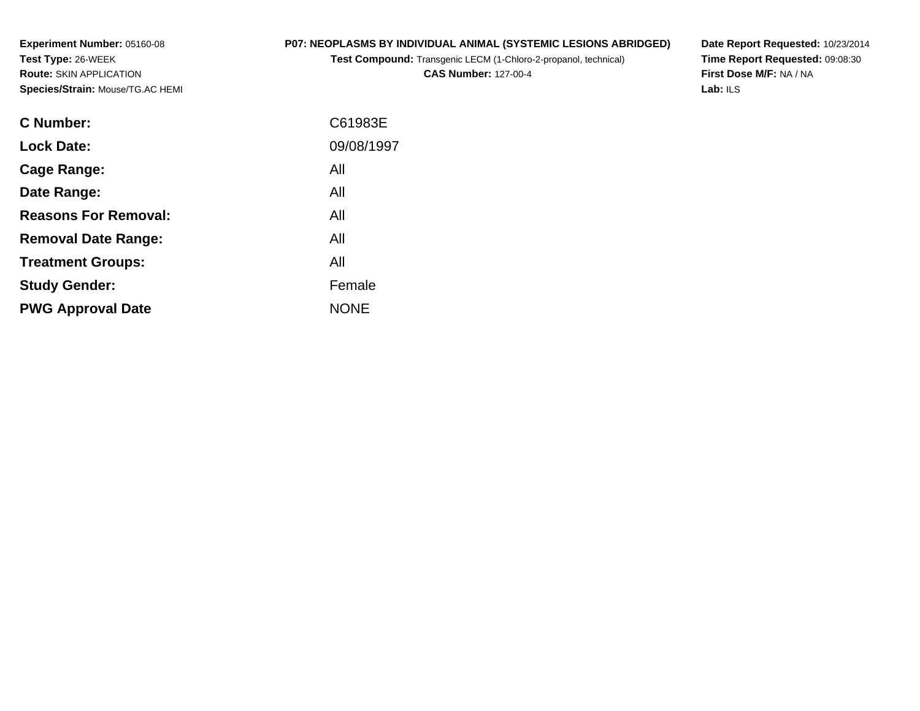**Experiment Number:** 05160-08**Test Type:** 26-WEEK **Route:** SKIN APPLICATION**Species/Strain:** Mouse/TG.AC HEMI

## **P07: NEOPLASMS BY INDIVIDUAL ANIMAL (SYSTEMIC LESIONS ABRIDGED)**

**Test Compound:** Transgenic LECM (1-Chloro-2-propanol, technical)

**CAS Number:** 127-00-4

**Date Report Requested:** 10/23/2014 **Time Report Requested:** 09:08:30**First Dose M/F:** NA / NA**Lab:** ILS

| C Number:                   | C61983E     |
|-----------------------------|-------------|
| <b>Lock Date:</b>           | 09/08/1997  |
| Cage Range:                 | All         |
| Date Range:                 | All         |
| <b>Reasons For Removal:</b> | All         |
| <b>Removal Date Range:</b>  | All         |
| <b>Treatment Groups:</b>    | All         |
| <b>Study Gender:</b>        | Female      |
| <b>PWG Approval Date</b>    | <b>NONE</b> |
|                             |             |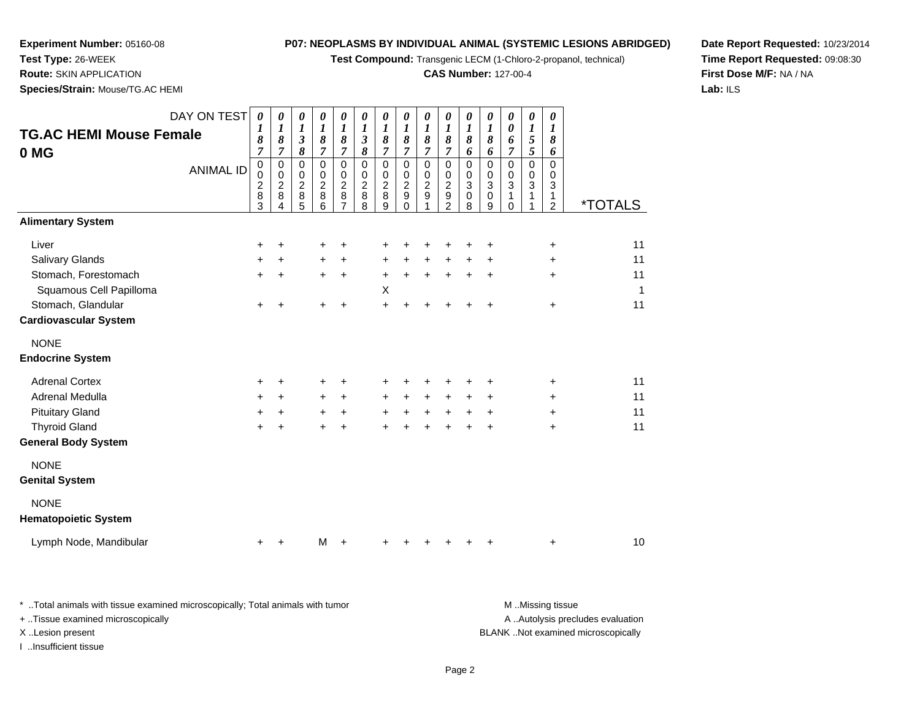**Test Compound:** Transgenic LECM (1-Chloro-2-propanol, technical)

### **CAS Number:** 127-00-4

**Date Report Requested:** 10/23/2014**Time Report Requested:** 09:08:30**First Dose M/F:** NA / NA**Lab:** ILS

 **Route:** SKIN APPLICATION**Species/Strain:** Mouse/TG.AC HEMI

**Experiment Number:** 05160-08

**Test Type:** 26-WEEK

| <b>TG.AC HEMI Mouse Female</b><br>0 MG | DAY ON TEST<br><b>ANIMAL ID</b> | $\boldsymbol{\theta}$<br>$\boldsymbol{l}$<br>8<br>$\overline{7}$<br>0<br>0<br>$\boldsymbol{2}$<br>8<br>3 | 0<br>$\boldsymbol{l}$<br>8<br>$\overline{7}$<br>$\mathsf 0$<br>$\,0\,$<br>$\frac{2}{8}$<br>4 | 0<br>$\boldsymbol{l}$<br>$\boldsymbol{\mathfrak{z}}$<br>8<br>$\mathbf 0$<br>0<br>$\mathbf 2$<br>8<br>5 | $\pmb{\theta}$<br>$\boldsymbol{l}$<br>8<br>$\overline{7}$<br>$\mathbf 0$<br>0<br>$\overline{c}$<br>8<br>6 | $\pmb{\theta}$<br>$\boldsymbol{l}$<br>$\pmb{8}$<br>$\overline{7}$<br>$\mathbf 0$<br>$\mathbf 0$<br>$\overline{c}$<br>8 | $\boldsymbol{\theta}$<br>$\boldsymbol{l}$<br>$\mathfrak{z}$<br>$\pmb{8}$<br>$\mathbf 0$<br>$\mathbf 0$<br>$\overline{2}$<br>8<br>8 | 0<br>$\boldsymbol{l}$<br>8<br>$\overline{7}$<br>$\mathsf 0$<br>$\pmb{0}$<br>$\overline{2}$<br>$\,8\,$<br>9 | 0<br>$\boldsymbol{l}$<br>$\boldsymbol{\delta}$<br>$\overline{7}$<br>$\mathsf 0$<br>$\mathbf 0$<br>$\boldsymbol{2}$<br>$\boldsymbol{9}$<br>$\Omega$ | 0<br>$\boldsymbol{l}$<br>8<br>$\overline{7}$<br>$\mathbf 0$<br>0<br>$\frac{2}{9}$ | $\pmb{\theta}$<br>$\boldsymbol{l}$<br>$\boldsymbol{\delta}$<br>$\overline{7}$<br>$\mathsf 0$<br>$\pmb{0}$<br>$\frac{2}{9}$<br>2 | 0<br>$\boldsymbol{l}$<br>8<br>6<br>$\mathbf 0$<br>0<br>$\overline{3}$<br>$\pmb{0}$<br>8 | $\pmb{\theta}$<br>$\boldsymbol{l}$<br>$\pmb{8}$<br>6<br>$\mathbf 0$<br>$\pmb{0}$<br>$\overline{3}$<br>$\mathsf 0$<br>9 | 0<br>$\pmb{\theta}$<br>6<br>$\overline{7}$<br>$\mathbf 0$<br>0<br>3<br>$\mathbf{1}$<br>0 | $\pmb{\theta}$<br>$\boldsymbol{l}$<br>5<br>$\overline{5}$<br>$\mathsf 0$<br>$\pmb{0}$<br>$\overline{3}$<br>$\mathbf{1}$ | $\boldsymbol{\theta}$<br>$\boldsymbol{l}$<br>8<br>6<br>$\mathbf 0$<br>$\mathbf 0$<br>$\mathbf{3}$<br>1<br>$\overline{2}$ | <i><b>*TOTALS</b></i> |
|----------------------------------------|---------------------------------|----------------------------------------------------------------------------------------------------------|----------------------------------------------------------------------------------------------|--------------------------------------------------------------------------------------------------------|-----------------------------------------------------------------------------------------------------------|------------------------------------------------------------------------------------------------------------------------|------------------------------------------------------------------------------------------------------------------------------------|------------------------------------------------------------------------------------------------------------|----------------------------------------------------------------------------------------------------------------------------------------------------|-----------------------------------------------------------------------------------|---------------------------------------------------------------------------------------------------------------------------------|-----------------------------------------------------------------------------------------|------------------------------------------------------------------------------------------------------------------------|------------------------------------------------------------------------------------------|-------------------------------------------------------------------------------------------------------------------------|--------------------------------------------------------------------------------------------------------------------------|-----------------------|
| <b>Alimentary System</b>               |                                 |                                                                                                          |                                                                                              |                                                                                                        |                                                                                                           |                                                                                                                        |                                                                                                                                    |                                                                                                            |                                                                                                                                                    |                                                                                   |                                                                                                                                 |                                                                                         |                                                                                                                        |                                                                                          |                                                                                                                         |                                                                                                                          |                       |
| Liver                                  |                                 | +                                                                                                        | $\ddot{}$                                                                                    |                                                                                                        | +                                                                                                         | +                                                                                                                      |                                                                                                                                    | +                                                                                                          |                                                                                                                                                    | +                                                                                 | +                                                                                                                               | +                                                                                       | +                                                                                                                      |                                                                                          |                                                                                                                         | $\ddot{}$                                                                                                                | 11                    |
| <b>Salivary Glands</b>                 |                                 | +                                                                                                        | $\ddot{}$                                                                                    |                                                                                                        | $\ddot{}$                                                                                                 | $\ddot{}$                                                                                                              |                                                                                                                                    | $\ddot{}$                                                                                                  | $\ddot{}$                                                                                                                                          | $\ddot{}$                                                                         | $\ddot{}$                                                                                                                       | $\ddot{}$                                                                               | +                                                                                                                      |                                                                                          |                                                                                                                         | $\ddot{}$                                                                                                                | 11                    |
| Stomach, Forestomach                   |                                 | $\pm$                                                                                                    | $\ddot{}$                                                                                    |                                                                                                        | $\ddot{}$                                                                                                 | $\ddot{}$                                                                                                              |                                                                                                                                    | $+$                                                                                                        | $\ddot{}$                                                                                                                                          | $\ddot{}$                                                                         | $+$                                                                                                                             | $\ddot{}$                                                                               | $\ddot{}$                                                                                                              |                                                                                          |                                                                                                                         | $\ddot{}$                                                                                                                | 11                    |
| Squamous Cell Papilloma                |                                 |                                                                                                          |                                                                                              |                                                                                                        |                                                                                                           |                                                                                                                        |                                                                                                                                    | X                                                                                                          |                                                                                                                                                    |                                                                                   |                                                                                                                                 |                                                                                         |                                                                                                                        |                                                                                          |                                                                                                                         |                                                                                                                          | 1                     |
| Stomach, Glandular                     |                                 | $\ddot{}$                                                                                                | ÷                                                                                            |                                                                                                        | $\pm$                                                                                                     | $\ddot{}$                                                                                                              |                                                                                                                                    | $+$                                                                                                        | $\div$                                                                                                                                             | +                                                                                 | +                                                                                                                               | ÷                                                                                       | $\pm$                                                                                                                  |                                                                                          |                                                                                                                         | $\ddot{}$                                                                                                                | 11                    |
| <b>Cardiovascular System</b>           |                                 |                                                                                                          |                                                                                              |                                                                                                        |                                                                                                           |                                                                                                                        |                                                                                                                                    |                                                                                                            |                                                                                                                                                    |                                                                                   |                                                                                                                                 |                                                                                         |                                                                                                                        |                                                                                          |                                                                                                                         |                                                                                                                          |                       |
| <b>NONE</b><br><b>Endocrine System</b> |                                 |                                                                                                          |                                                                                              |                                                                                                        |                                                                                                           |                                                                                                                        |                                                                                                                                    |                                                                                                            |                                                                                                                                                    |                                                                                   |                                                                                                                                 |                                                                                         |                                                                                                                        |                                                                                          |                                                                                                                         |                                                                                                                          |                       |
| <b>Adrenal Cortex</b>                  |                                 | $\ddot{}$                                                                                                | $+$                                                                                          |                                                                                                        | $\ddot{}$                                                                                                 | +                                                                                                                      |                                                                                                                                    | $\ddot{}$                                                                                                  |                                                                                                                                                    | +                                                                                 | +                                                                                                                               | +                                                                                       | $\ddot{}$                                                                                                              |                                                                                          |                                                                                                                         | $\ddot{}$                                                                                                                | 11                    |
| Adrenal Medulla                        |                                 | +                                                                                                        | $\ddot{}$                                                                                    |                                                                                                        | $\ddot{}$                                                                                                 | $+$                                                                                                                    |                                                                                                                                    | $\ddot{}$                                                                                                  | $\ddot{}$                                                                                                                                          | $+$                                                                               | $\ddot{}$                                                                                                                       | $\ddot{}$                                                                               | $\ddot{}$                                                                                                              |                                                                                          |                                                                                                                         | $\ddot{}$                                                                                                                | 11                    |
| <b>Pituitary Gland</b>                 |                                 | +                                                                                                        | $\ddot{}$                                                                                    |                                                                                                        | $\ddot{}$                                                                                                 | $\ddot{}$                                                                                                              |                                                                                                                                    | $\ddot{}$                                                                                                  | $\ddot{}$                                                                                                                                          | $\ddot{}$                                                                         | $\ddot{}$                                                                                                                       | $\ddot{}$                                                                               | +                                                                                                                      |                                                                                          |                                                                                                                         | $\ddot{}$                                                                                                                | 11                    |
| <b>Thyroid Gland</b>                   |                                 | $\ddot{}$                                                                                                | $\ddot{}$                                                                                    |                                                                                                        |                                                                                                           | $\ddot{}$                                                                                                              |                                                                                                                                    |                                                                                                            |                                                                                                                                                    |                                                                                   |                                                                                                                                 | $\ddot{}$                                                                               | $\ddot{}$                                                                                                              |                                                                                          |                                                                                                                         | $\ddot{}$                                                                                                                | 11                    |
| <b>General Body System</b>             |                                 |                                                                                                          |                                                                                              |                                                                                                        |                                                                                                           |                                                                                                                        |                                                                                                                                    |                                                                                                            |                                                                                                                                                    |                                                                                   |                                                                                                                                 |                                                                                         |                                                                                                                        |                                                                                          |                                                                                                                         |                                                                                                                          |                       |
| <b>NONE</b>                            |                                 |                                                                                                          |                                                                                              |                                                                                                        |                                                                                                           |                                                                                                                        |                                                                                                                                    |                                                                                                            |                                                                                                                                                    |                                                                                   |                                                                                                                                 |                                                                                         |                                                                                                                        |                                                                                          |                                                                                                                         |                                                                                                                          |                       |
| <b>Genital System</b>                  |                                 |                                                                                                          |                                                                                              |                                                                                                        |                                                                                                           |                                                                                                                        |                                                                                                                                    |                                                                                                            |                                                                                                                                                    |                                                                                   |                                                                                                                                 |                                                                                         |                                                                                                                        |                                                                                          |                                                                                                                         |                                                                                                                          |                       |
| <b>NONE</b>                            |                                 |                                                                                                          |                                                                                              |                                                                                                        |                                                                                                           |                                                                                                                        |                                                                                                                                    |                                                                                                            |                                                                                                                                                    |                                                                                   |                                                                                                                                 |                                                                                         |                                                                                                                        |                                                                                          |                                                                                                                         |                                                                                                                          |                       |
| <b>Hematopoietic System</b>            |                                 |                                                                                                          |                                                                                              |                                                                                                        |                                                                                                           |                                                                                                                        |                                                                                                                                    |                                                                                                            |                                                                                                                                                    |                                                                                   |                                                                                                                                 |                                                                                         |                                                                                                                        |                                                                                          |                                                                                                                         |                                                                                                                          |                       |
| Lymph Node, Mandibular                 |                                 | +                                                                                                        | +                                                                                            |                                                                                                        | M                                                                                                         |                                                                                                                        |                                                                                                                                    |                                                                                                            |                                                                                                                                                    |                                                                                   |                                                                                                                                 |                                                                                         |                                                                                                                        |                                                                                          |                                                                                                                         | $\ddot{}$                                                                                                                | 10                    |

\* ..Total animals with tissue examined microscopically; Total animals with tumor **M** . Missing tissue M ..Missing tissue A ..Autolysis precludes evaluation + ..Tissue examined microscopically X ..Lesion present BLANK ..Not examined microscopicallyI ..Insufficient tissue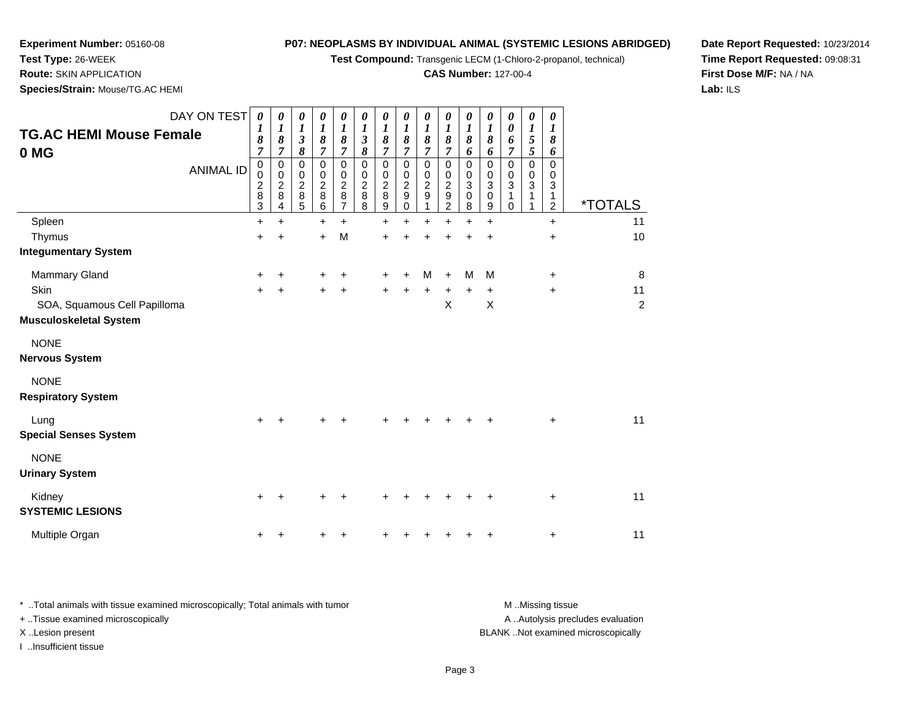**Test Compound:** Transgenic LECM (1-Chloro-2-propanol, technical)

### **CAS Number:** 127-00-4

**Date Report Requested:** 10/23/2014**Time Report Requested:** 09:08:31**First Dose M/F:** NA / NA**Lab:** ILS

 **Route:** SKIN APPLICATION**Species/Strain:** Mouse/TG.AC HEMI

**Experiment Number:** 05160-08

**Test Type:** 26-WEEK

| DAY ON TEST<br><b>TG.AC HEMI Mouse Female</b><br>0 MG<br><b>ANIMAL ID</b> | $\boldsymbol{\theta}$<br>1<br>8<br>7<br>$\,0\,$<br>$\pmb{0}$<br>$\boldsymbol{2}$<br>8<br>$\ensuremath{\mathsf{3}}$ | 0<br>1<br>8<br>7<br>0<br>0<br>$\overline{\mathbf{c}}$<br>8<br>4 | 0<br>1<br>$\boldsymbol{\beta}$<br>8<br>0<br>0<br>$\boldsymbol{2}$<br>8<br>5 | 0<br>$\boldsymbol{l}$<br>8<br>7<br>$\mathbf 0$<br>0<br>$\overline{\mathbf{c}}$<br>8<br>6 | 0<br>$\boldsymbol{l}$<br>8<br>$\overline{7}$<br>$\mathbf 0$<br>0<br>$\boldsymbol{2}$<br>8<br>7 | 0<br>$\boldsymbol{l}$<br>$\boldsymbol{\beta}$<br>8<br>$\mathbf 0$<br>0<br>$\boldsymbol{2}$<br>$\bf 8$<br>8 | 0<br>$\boldsymbol{l}$<br>8<br>7<br>$\mathbf 0$<br>0<br>$\mathbf 2$<br>8<br>$\boldsymbol{9}$ | $\boldsymbol{\theta}$<br>$\boldsymbol{l}$<br>8<br>7<br>$\mathbf 0$<br>0<br>$\boldsymbol{2}$<br>9<br>0 | 0<br>$\boldsymbol{l}$<br>8<br>7<br>$\mathbf 0$<br>0<br>$\overline{c}$<br>$\mathsf g$<br>1 | 0<br>$\boldsymbol{l}$<br>8<br>7<br>$\mathbf 0$<br>0<br>$\overline{\mathbf{c}}$<br>$\boldsymbol{9}$<br>$\overline{c}$ | 0<br>$\boldsymbol{l}$<br>8<br>6<br>0<br>$\pmb{0}$<br>3<br>0<br>8 | 0<br>$\boldsymbol{l}$<br>8<br>6<br>$\mathbf 0$<br>0<br>3<br>$\pmb{0}$<br>9 | 0<br>0<br>6<br>7<br>0<br>0<br>3<br>1<br>0 | 0<br>1<br>5<br>5<br>0<br>0<br>3<br>1 | 0<br>1<br>8<br>6<br>$\mathbf 0$<br>0<br>3<br>1<br>$\overline{c}$ | <i><b>*TOTALS</b></i> |
|---------------------------------------------------------------------------|--------------------------------------------------------------------------------------------------------------------|-----------------------------------------------------------------|-----------------------------------------------------------------------------|------------------------------------------------------------------------------------------|------------------------------------------------------------------------------------------------|------------------------------------------------------------------------------------------------------------|---------------------------------------------------------------------------------------------|-------------------------------------------------------------------------------------------------------|-------------------------------------------------------------------------------------------|----------------------------------------------------------------------------------------------------------------------|------------------------------------------------------------------|----------------------------------------------------------------------------|-------------------------------------------|--------------------------------------|------------------------------------------------------------------|-----------------------|
| Spleen                                                                    | +                                                                                                                  | $\ddot{}$                                                       |                                                                             | $\ddot{}$                                                                                | $\ddot{}$                                                                                      |                                                                                                            | +                                                                                           | +                                                                                                     | $\ddot{}$                                                                                 | $\ddot{}$                                                                                                            | $\ddot{}$                                                        | $\ddot{}$                                                                  |                                           |                                      | $\ddot{}$                                                        | 11                    |
| Thymus                                                                    | +                                                                                                                  | $\ddot{}$                                                       |                                                                             | $\ddot{}$                                                                                | M                                                                                              |                                                                                                            | $\ddot{}$                                                                                   |                                                                                                       |                                                                                           |                                                                                                                      | +                                                                | +                                                                          |                                           |                                      | $\ddot{}$                                                        | 10                    |
| <b>Integumentary System</b>                                               |                                                                                                                    |                                                                 |                                                                             |                                                                                          |                                                                                                |                                                                                                            |                                                                                             |                                                                                                       |                                                                                           |                                                                                                                      |                                                                  |                                                                            |                                           |                                      |                                                                  |                       |
| <b>Mammary Gland</b>                                                      | +                                                                                                                  | +                                                               |                                                                             |                                                                                          | +                                                                                              |                                                                                                            | +                                                                                           |                                                                                                       | м                                                                                         | +                                                                                                                    | M                                                                | M                                                                          |                                           |                                      | $\ddot{}$                                                        | 8                     |
| Skin                                                                      | +                                                                                                                  | $\ddot{}$                                                       |                                                                             |                                                                                          |                                                                                                |                                                                                                            | $\ddot{}$                                                                                   |                                                                                                       | $\ddot{}$                                                                                 | +                                                                                                                    | $\ddot{}$                                                        | $\ddot{}$                                                                  |                                           |                                      | $\ddot{}$                                                        | 11                    |
| SOA, Squamous Cell Papilloma                                              |                                                                                                                    |                                                                 |                                                                             |                                                                                          |                                                                                                |                                                                                                            |                                                                                             |                                                                                                       |                                                                                           | X                                                                                                                    |                                                                  | X                                                                          |                                           |                                      |                                                                  | $\overline{2}$        |
| <b>Musculoskeletal System</b>                                             |                                                                                                                    |                                                                 |                                                                             |                                                                                          |                                                                                                |                                                                                                            |                                                                                             |                                                                                                       |                                                                                           |                                                                                                                      |                                                                  |                                                                            |                                           |                                      |                                                                  |                       |
| <b>NONE</b>                                                               |                                                                                                                    |                                                                 |                                                                             |                                                                                          |                                                                                                |                                                                                                            |                                                                                             |                                                                                                       |                                                                                           |                                                                                                                      |                                                                  |                                                                            |                                           |                                      |                                                                  |                       |
| <b>Nervous System</b>                                                     |                                                                                                                    |                                                                 |                                                                             |                                                                                          |                                                                                                |                                                                                                            |                                                                                             |                                                                                                       |                                                                                           |                                                                                                                      |                                                                  |                                                                            |                                           |                                      |                                                                  |                       |
| <b>NONE</b>                                                               |                                                                                                                    |                                                                 |                                                                             |                                                                                          |                                                                                                |                                                                                                            |                                                                                             |                                                                                                       |                                                                                           |                                                                                                                      |                                                                  |                                                                            |                                           |                                      |                                                                  |                       |
| <b>Respiratory System</b>                                                 |                                                                                                                    |                                                                 |                                                                             |                                                                                          |                                                                                                |                                                                                                            |                                                                                             |                                                                                                       |                                                                                           |                                                                                                                      |                                                                  |                                                                            |                                           |                                      |                                                                  |                       |
| Lung<br><b>Special Senses System</b>                                      | ÷                                                                                                                  |                                                                 |                                                                             |                                                                                          |                                                                                                |                                                                                                            |                                                                                             |                                                                                                       |                                                                                           |                                                                                                                      |                                                                  |                                                                            |                                           |                                      | $\ddot{}$                                                        | 11                    |
| <b>NONE</b><br><b>Urinary System</b>                                      |                                                                                                                    |                                                                 |                                                                             |                                                                                          |                                                                                                |                                                                                                            |                                                                                             |                                                                                                       |                                                                                           |                                                                                                                      |                                                                  |                                                                            |                                           |                                      |                                                                  |                       |
| Kidney<br><b>SYSTEMIC LESIONS</b>                                         | +                                                                                                                  |                                                                 |                                                                             |                                                                                          |                                                                                                |                                                                                                            |                                                                                             |                                                                                                       |                                                                                           |                                                                                                                      |                                                                  |                                                                            |                                           |                                      | $\ddot{}$                                                        | 11                    |
| Multiple Organ                                                            | ٠                                                                                                                  |                                                                 |                                                                             |                                                                                          |                                                                                                |                                                                                                            |                                                                                             |                                                                                                       |                                                                                           |                                                                                                                      |                                                                  |                                                                            |                                           |                                      | +                                                                | 11                    |

\* ..Total animals with tissue examined microscopically; Total animals with tumor **M** . Missing tissue M ..Missing tissue A ..Autolysis precludes evaluation + ..Tissue examined microscopically X ..Lesion present BLANK ..Not examined microscopicallyI ..Insufficient tissue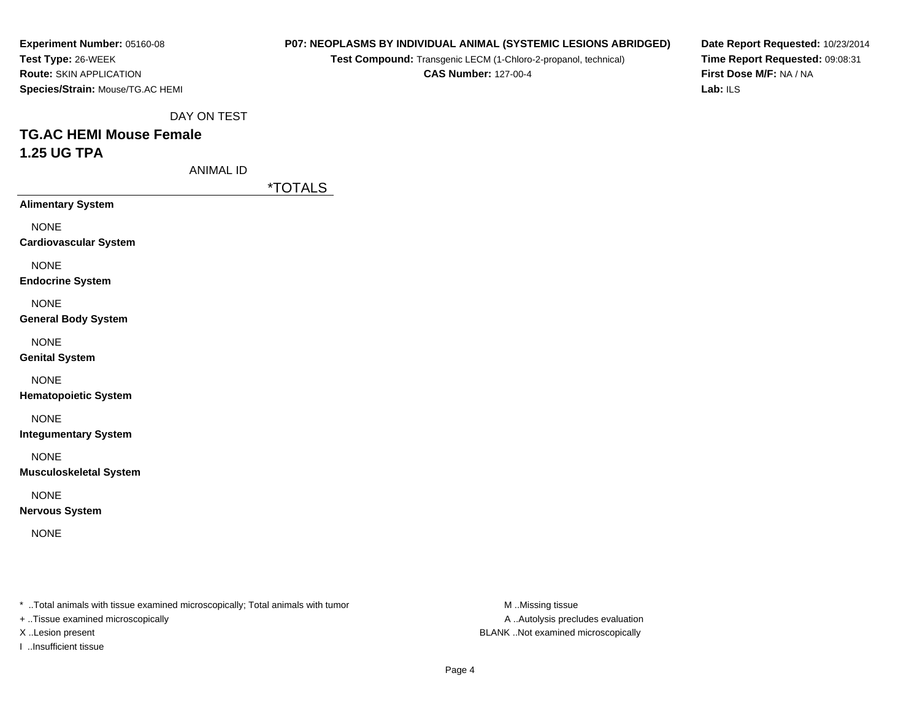**Experiment Number:** 05160-08**Test Type:** 26-WEEK **Route:** SKIN APPLICATION**Species/Strain:** Mouse/TG.AC HEMI

#### **P07: NEOPLASMS BY INDIVIDUAL ANIMAL (SYSTEMIC LESIONS ABRIDGED)**

**Test Compound:** Transgenic LECM (1-Chloro-2-propanol, technical)

**CAS Number:** 127-00-4

**Date Report Requested:** 10/23/2014**Time Report Requested:** 09:08:31**First Dose M/F:** NA / NA**Lab:** ILS

DAY ON TEST

# **TG.AC HEMI Mouse Female1.25 UG TPA**

ANIMAL ID

\*TOTALS

**Alimentary System**NONE **Cardiovascular System**NONE **Endocrine System**NONE **General Body System**NONE

**Genital System**

NONE

**Hematopoietic System**

NONE

**Integumentary System**

NONE

**Musculoskeletal System**

NONE

**Nervous System**

NONE

\* ..Total animals with tissue examined microscopically; Total animals with tumor **M** ..Missing tissue M ..Missing tissue

+ ..Tissue examined microscopically

I ..Insufficient tissue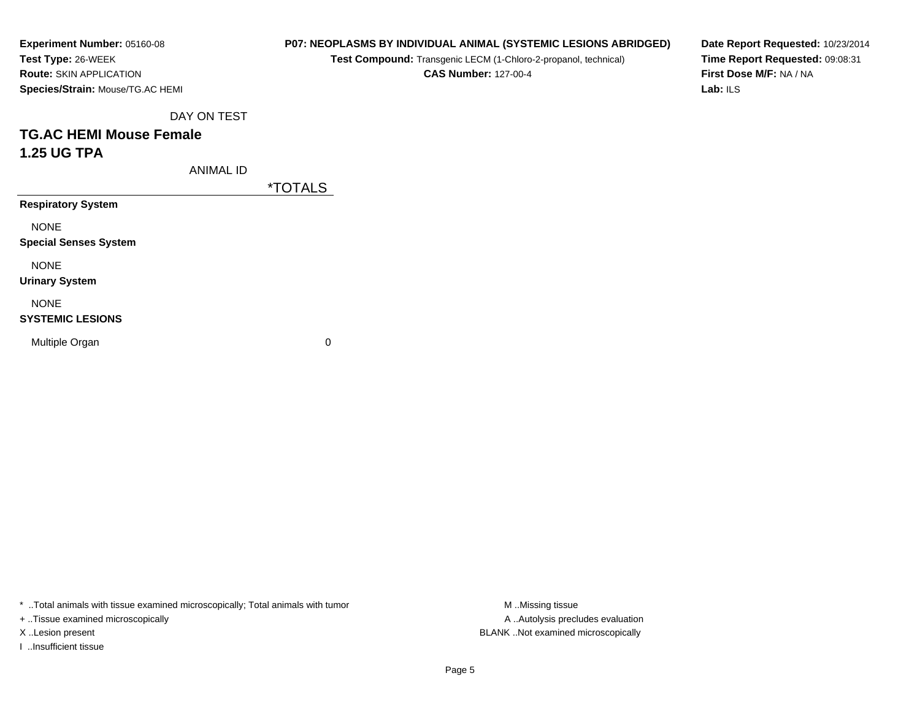| Experiment Number: 05160-08      |
|----------------------------------|
| Test Type: 26-WEEK               |
| <b>Route: SKIN APPLICATION</b>   |
| Species/Strain: Mouse/TG.AC HEMI |

**Test Compound:** Transgenic LECM (1-Chloro-2-propanol, technical)

**CAS Number:** 127-00-4

**Date Report Requested:** 10/23/2014**Time Report Requested:** 09:08:31**First Dose M/F:** NA / NA**Lab:** ILS

DAY ON TEST

# **TG.AC HEMI Mouse Female1.25 UG TPA**

ANIMAL ID

\*TOTALS

**Respiratory System**

NONE

**Special Senses System**

NONE

**Urinary System**

NONE

### **SYSTEMIC LESIONS**

Multiple Organ

 $\mathbf n$  0

\* ..Total animals with tissue examined microscopically; Total animals with tumor **M** ...Missing tissue M ...Missing tissue

+ ..Tissue examined microscopically

I ..Insufficient tissue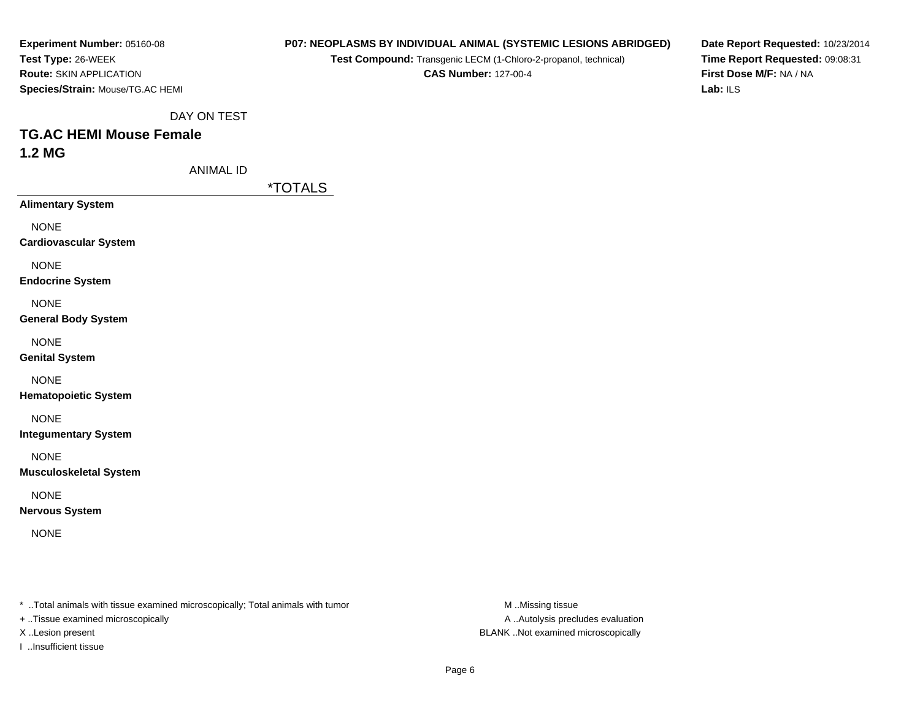| Experiment Number: 05160-08      |
|----------------------------------|
| <b>Test Type: 26-WEEK</b>        |
| <b>Route: SKIN APPLICATION</b>   |
| Species/Strain: Mouse/TG.AC HEMI |

**Test Compound:** Transgenic LECM (1-Chloro-2-propanol, technical)

**CAS Number:** 127-00-4

**Date Report Requested:** 10/23/2014**Time Report Requested:** 09:08:31**First Dose M/F:** NA / NA**Lab:** ILS

DAY ON TEST

## **TG.AC HEMI Mouse Female1.2 MG**

ANIMAL ID

\*TOTALS

**Alimentary System**

NONE

**Cardiovascular System**

NONE

**Endocrine System**

NONE

**General Body System**

NONE

**Genital System**

NONE

**Hematopoietic System**

NONE

**Integumentary System**

NONE

**Musculoskeletal System**

NONE

**Nervous System**

NONE

\* ..Total animals with tissue examined microscopically; Total animals with tumor **M** ..Missing tissue M ..Missing tissue

+ ..Tissue examined microscopically

I ..Insufficient tissue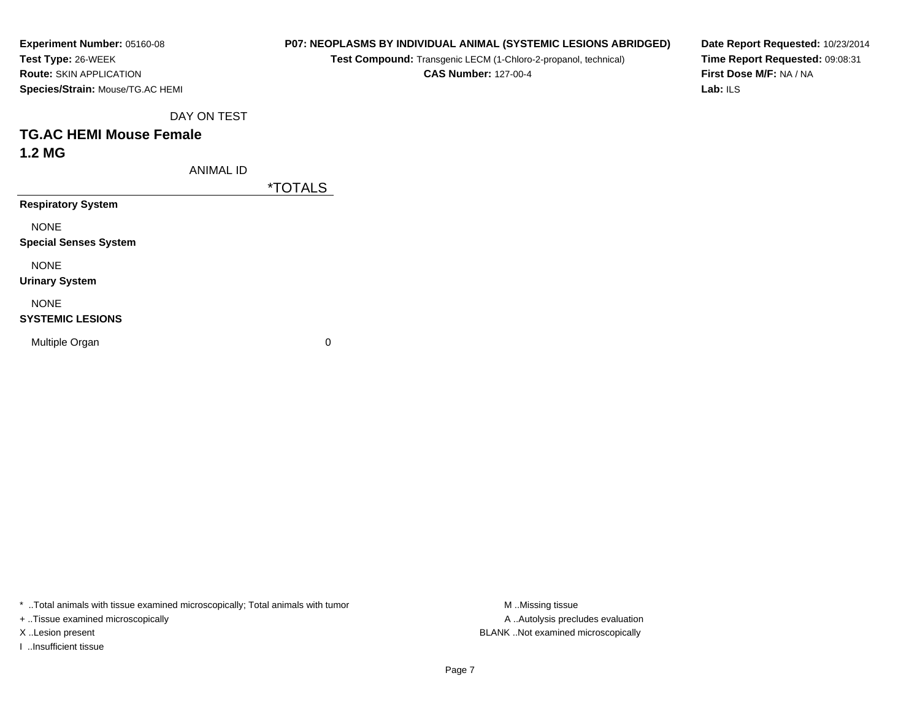| Experiment Number: 05160-08      |
|----------------------------------|
| Test Type: 26-WEEK               |
| <b>Route: SKIN APPLICATION</b>   |
| Species/Strain: Mouse/TG.AC HEMI |

**Test Compound:** Transgenic LECM (1-Chloro-2-propanol, technical)

**CAS Number:** 127-00-4

**Date Report Requested:** 10/23/2014**Time Report Requested:** 09:08:31**First Dose M/F:** NA / NA**Lab:** ILS

DAY ON TEST

## **TG.AC HEMI Mouse Female1.2 MG**

ANIMAL ID

\*TOTALS

**Respiratory System**

NONE

**Special Senses System**

NONE

**Urinary System**

NONE

### **SYSTEMIC LESIONS**

Multiple Organ

 $\mathbf n$  0

\* ..Total animals with tissue examined microscopically; Total animals with tumor **M** ...Missing tissue M ...Missing tissue

+ ..Tissue examined microscopically

I ..Insufficient tissue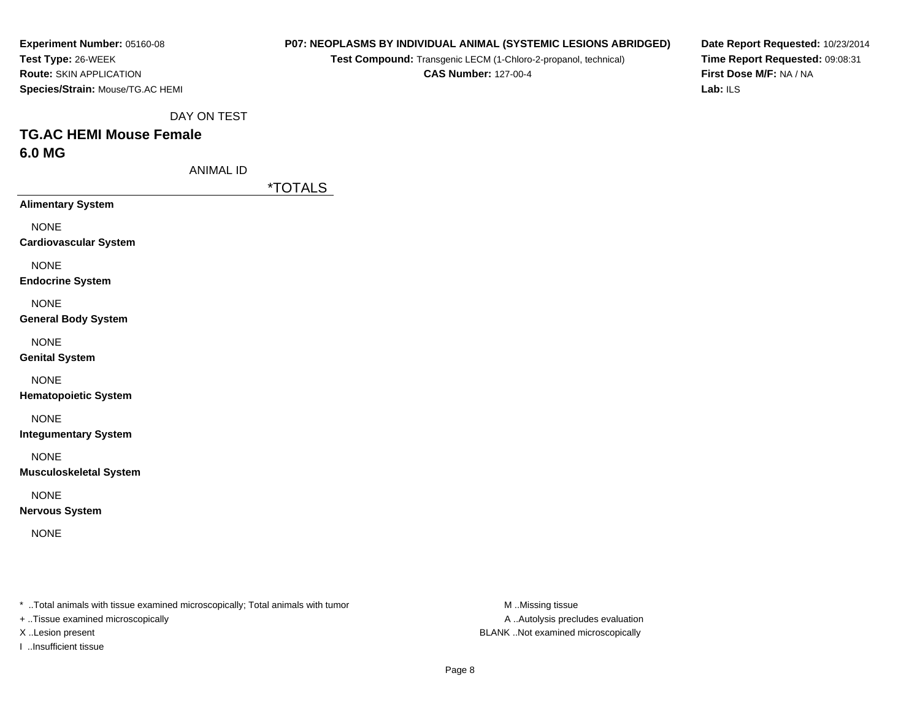| Experiment Number: 05160-08      |
|----------------------------------|
| Test Type: 26-WEEK               |
| <b>Route: SKIN APPLICATION</b>   |
| Species/Strain: Mouse/TG.AC HEMI |

**Test Compound:** Transgenic LECM (1-Chloro-2-propanol, technical)

**CAS Number:** 127-00-4

**Date Report Requested:** 10/23/2014**Time Report Requested:** 09:08:31**First Dose M/F:** NA / NA**Lab:** ILS

DAY ON TEST

# **TG.AC HEMI Mouse Female6.0 MG**

ANIMAL ID

\*TOTALS

**Alimentary System**

NONE

**Cardiovascular System**

NONE

**Endocrine System**

NONE

**General Body System**

NONE

**Genital System**

NONE

**Hematopoietic System**

NONE

**Integumentary System**

NONE

**Musculoskeletal System**

NONE

**Nervous System**

NONE

\* ..Total animals with tissue examined microscopically; Total animals with tumor **M** ..Missing tissue M ..Missing tissue

+ ..Tissue examined microscopically

I ..Insufficient tissue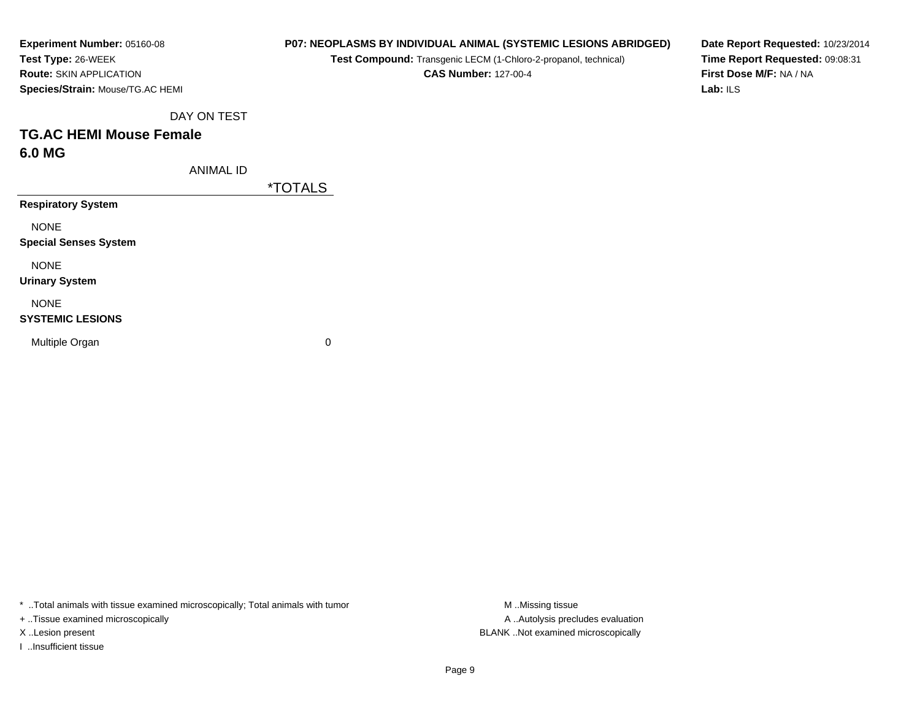| <b>Experiment Number: 05160-08</b>      |
|-----------------------------------------|
| Test Type: 26-WEEK                      |
| <b>Route: SKIN APPLICATION</b>          |
| <b>Species/Strain: Mouse/TG.AC HEMI</b> |

**Test Compound:** Transgenic LECM (1-Chloro-2-propanol, technical)

**CAS Number:** 127-00-4

**Date Report Requested:** 10/23/2014**Time Report Requested:** 09:08:31**First Dose M/F:** NA / NA**Lab:** ILS

DAY ON TEST

## **TG.AC HEMI Mouse Female6.0 MG**

ANIMAL ID

\*TOTALS

**Respiratory System**

NONE

**Special Senses System**

NONE

**Urinary System**

NONE

### **SYSTEMIC LESIONS**

Multiple Organ

 $\mathbf n$  0

\* ..Total animals with tissue examined microscopically; Total animals with tumor **M** ...Missing tissue M ...Missing tissue

+ ..Tissue examined microscopically

I ..Insufficient tissue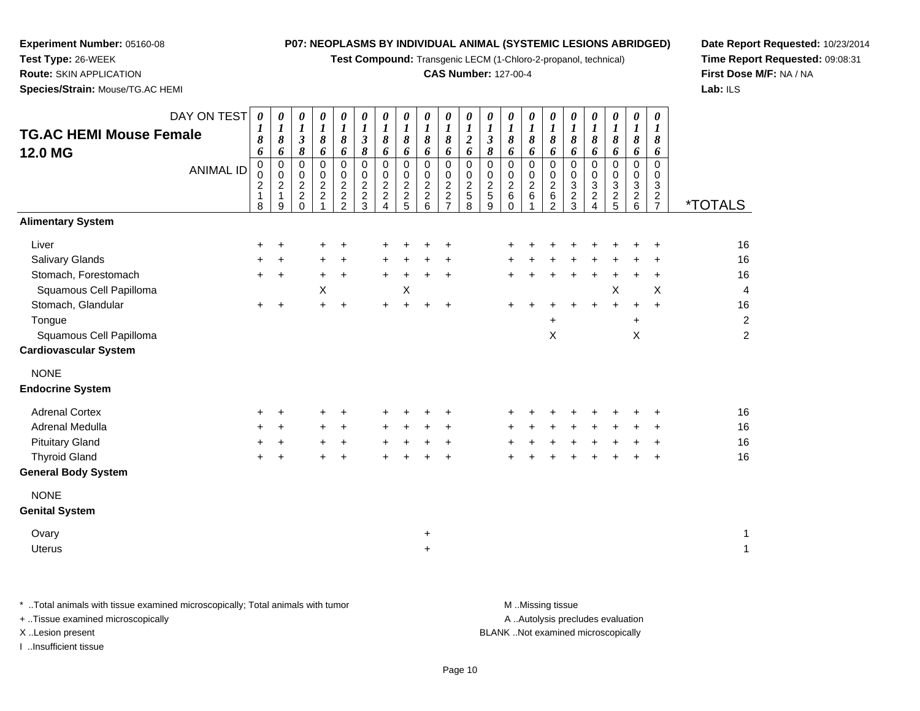**Test Compound:** Transgenic LECM (1-Chloro-2-propanol, technical)

### **CAS Number:** 127-00-4

**Date Report Requested:** 10/23/2014**Time Report Requested:** 09:08:31**First Dose M/F:** NA / NA**Lab:** ILS

 **Route:** SKIN APPLICATION**Species/Strain:** Mouse/TG.AC HEMI

**Experiment Number:** 05160-08

**Test Type:** 26-WEEK

| <b>TG.AC HEMI Mouse Female</b><br><b>12.0 MG</b>                                                                                                                                                                 | DAY ON TEST<br><b>ANIMAL ID</b> | $\boldsymbol{\theta}$<br>1<br>8<br>6<br>$\pmb{0}$<br>$\mathbf 0$<br>$\overline{c}$<br>$\mathbf{1}$<br>8 | 0<br>$\boldsymbol{l}$<br>8<br>6<br>$\mathsf 0$<br>$\mathbf 0$<br>$\overline{c}$<br>$\mathbf{1}$<br>9 | $\boldsymbol{\theta}$<br>$\boldsymbol{I}$<br>$\mathfrak{z}$<br>$\pmb{8}$<br>$\overline{0}$<br>$\mathbf 0$<br>$\overline{c}$<br>$\overline{2}$<br>$\Omega$ | 0<br>$\boldsymbol{l}$<br>$\pmb{8}$<br>6<br>$\mathbf 0$<br>$\begin{array}{c} 0 \\ 2 \\ 2 \end{array}$ | 0<br>$\boldsymbol{l}$<br>$\pmb{8}$<br>6<br>$\overline{0}$<br>$\pmb{0}$<br>$\boldsymbol{2}$<br>$\frac{2}{2}$ | 0<br>$\boldsymbol{l}$<br>$\boldsymbol{\beta}$<br>8<br>$\mathbf 0$<br>0<br>$\overline{c}$<br>$\overline{c}$<br>3 | 0<br>$\boldsymbol{l}$<br>8<br>6<br>$\mathbf 0$<br>$\mathbf 0$<br>$\overline{c}$<br>$\boldsymbol{2}$<br>4 | 0<br>$\boldsymbol{l}$<br>8<br>6<br>$\pmb{0}$<br>$\mathbf 0$<br>$\begin{array}{c} 2 \\ 2 \\ 5 \end{array}$ | 0<br>$\boldsymbol{l}$<br>8<br>6<br>$\mathbf 0$<br>$\mathbf 0$<br>$\boldsymbol{2}$<br>$\boldsymbol{2}$<br>6 | 0<br>1<br>8<br>6<br>0<br>0<br>$\overline{c}$<br>$\overline{c}$<br>$\overline{7}$ | $\boldsymbol{\theta}$<br>$\boldsymbol{l}$<br>$\boldsymbol{2}$<br>6<br>$\mathbf 0$<br>0<br>$\overline{a}$<br>$\sqrt{5}$<br>8 | 0<br>$\boldsymbol{l}$<br>$\boldsymbol{\mathfrak{z}}$<br>8<br>0<br>0<br>$\frac{2}{5}$<br>9 | 0<br>$\boldsymbol{l}$<br>8<br>6<br>$\mathbf 0$<br>$\mathbf 0$<br>$\boldsymbol{2}$<br>6<br>0 | 0<br>$\boldsymbol{l}$<br>8<br>6<br>$\mathsf 0$<br>0<br>$\overline{c}$<br>6 | 0<br>$\boldsymbol{l}$<br>8<br>6<br>$\pmb{0}$<br>0<br>$\overline{\mathbf{c}}$<br>6<br>2 | 0<br>$\boldsymbol{l}$<br>8<br>6<br>$\pmb{0}$<br>0<br>3<br>$\overline{\mathbf{c}}$<br>3 | $\boldsymbol{\theta}$<br>$\boldsymbol{l}$<br>8<br>6<br>$\mathbf 0$<br>$\mathbf 0$<br>3<br>$\boldsymbol{2}$<br>4 | 0<br>1<br>8<br>6<br>0<br>0<br>3<br>$rac{2}{5}$ | $\boldsymbol{\theta}$<br>$\boldsymbol{l}$<br>8<br>6<br>$\pmb{0}$<br>0<br>$\ensuremath{\mathsf{3}}$<br>$\frac{2}{6}$ | 0<br>1<br>8<br>6<br>0<br>0<br>$\ensuremath{\mathsf{3}}$<br>$\frac{2}{7}$ | <i><b>*TOTALS</b></i>                                                      |
|------------------------------------------------------------------------------------------------------------------------------------------------------------------------------------------------------------------|---------------------------------|---------------------------------------------------------------------------------------------------------|------------------------------------------------------------------------------------------------------|-----------------------------------------------------------------------------------------------------------------------------------------------------------|------------------------------------------------------------------------------------------------------|-------------------------------------------------------------------------------------------------------------|-----------------------------------------------------------------------------------------------------------------|----------------------------------------------------------------------------------------------------------|-----------------------------------------------------------------------------------------------------------|------------------------------------------------------------------------------------------------------------|----------------------------------------------------------------------------------|-----------------------------------------------------------------------------------------------------------------------------|-------------------------------------------------------------------------------------------|---------------------------------------------------------------------------------------------|----------------------------------------------------------------------------|----------------------------------------------------------------------------------------|----------------------------------------------------------------------------------------|-----------------------------------------------------------------------------------------------------------------|------------------------------------------------|---------------------------------------------------------------------------------------------------------------------|--------------------------------------------------------------------------|----------------------------------------------------------------------------|
| <b>Alimentary System</b>                                                                                                                                                                                         |                                 |                                                                                                         |                                                                                                      |                                                                                                                                                           |                                                                                                      |                                                                                                             |                                                                                                                 |                                                                                                          |                                                                                                           |                                                                                                            |                                                                                  |                                                                                                                             |                                                                                           |                                                                                             |                                                                            |                                                                                        |                                                                                        |                                                                                                                 |                                                |                                                                                                                     |                                                                          |                                                                            |
| Liver<br>Salivary Glands<br>Stomach, Forestomach<br>Squamous Cell Papilloma<br>Stomach, Glandular<br>Tongue<br>Squamous Cell Papilloma<br><b>Cardiovascular System</b><br><b>NONE</b><br><b>Endocrine System</b> |                                 | +<br>÷<br>$\pm$                                                                                         | +<br>+<br>$\ddot{}$                                                                                  |                                                                                                                                                           | +<br>+<br>$\ddot{}$<br>X<br>$\ddot{}$                                                                | $\ddot{}$<br>$\ddot{}$<br>$\ddot{}$                                                                         |                                                                                                                 | $\pm$<br>$\ddot{}$<br>$\ddot{}$                                                                          | $\ddot{}$<br>Χ<br>$\ddot{}$                                                                               | $\pm$<br>$\ddot{}$                                                                                         | $\ddot{}$<br>$\ddot{}$                                                           |                                                                                                                             |                                                                                           |                                                                                             |                                                                            | $\ddot{}$<br>X                                                                         |                                                                                        | ÷                                                                                                               | ÷<br>X<br>$+$                                  | ÷<br>$\ddot{}$<br>$\ddot{}$<br>X                                                                                    | +<br>$\ddot{}$<br>X<br>$\ddot{}$                                         | 16<br>16<br>16<br>$\overline{4}$<br>16<br>$\overline{c}$<br>$\overline{c}$ |
| <b>Adrenal Cortex</b><br>Adrenal Medulla<br><b>Pituitary Gland</b><br><b>Thyroid Gland</b><br><b>General Body System</b><br><b>NONE</b><br><b>Genital System</b><br>Ovary<br><b>Uterus</b>                       |                                 | +<br>$\ddot{}$                                                                                          | +<br>$\ddot{}$<br>$\ddot{}$                                                                          |                                                                                                                                                           | +<br>$\ddot{}$<br>$\pm$<br>$+$                                                                       | ÷<br>$\ddot{}$<br>$\ddot{}$<br>$\ddot{}$                                                                    |                                                                                                                 | ٠<br>$\ddot{}$<br>$\pm$<br>$+$                                                                           | $\pm$                                                                                                     | +<br>$\ddot{}$<br>$\ddot{}$                                                                                | +<br>$\pm$<br>٠<br>$\ddot{}$                                                     |                                                                                                                             |                                                                                           |                                                                                             |                                                                            |                                                                                        |                                                                                        |                                                                                                                 |                                                | $\ddot{}$                                                                                                           | +<br>÷<br>÷<br>÷                                                         | 16<br>16<br>16<br>16<br>1<br>$\mathbf{1}$                                  |

\* ..Total animals with tissue examined microscopically; Total animals with tumor **M** . Missing tissue M ..Missing tissue

+ ..Tissue examined microscopically

I ..Insufficient tissue

A ..Autolysis precludes evaluation

X ..Lesion present BLANK ..Not examined microscopically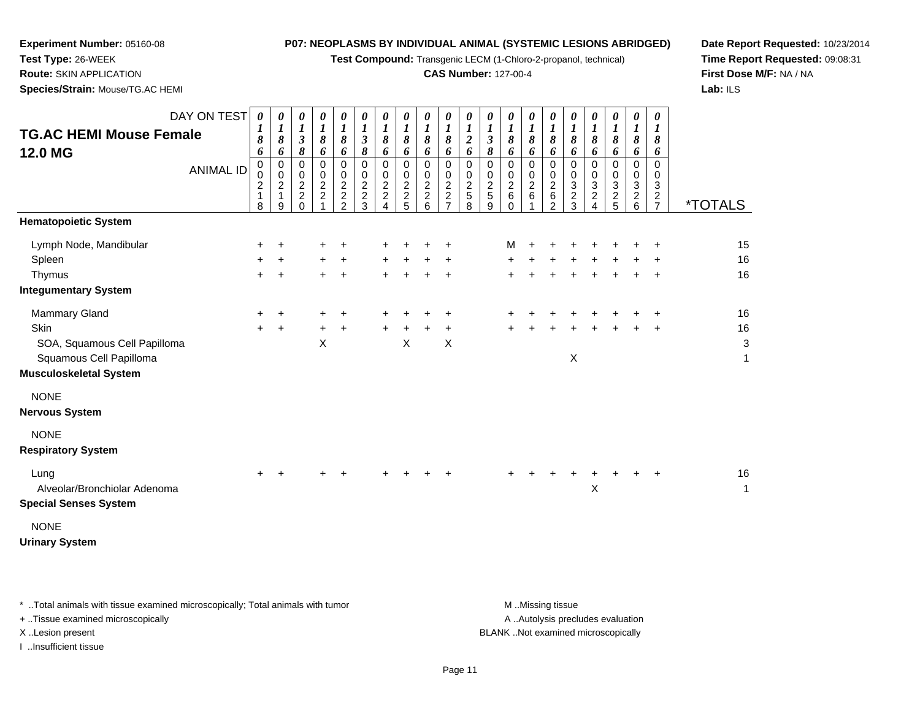**Test Compound:** Transgenic LECM (1-Chloro-2-propanol, technical)

### **CAS Number:** 127-00-4

**Date Report Requested:** 10/23/2014**Time Report Requested:** 09:08:31**First Dose M/F:** NA / NA**Lab:** ILS

**Test Type:** 26-WEEK**Route:** SKIN APPLICATION

**Experiment Number:** 05160-08

**Species/Strain:** Mouse/TG.AC HEMI

| <b>TG.AC HEMI Mouse Female</b><br>12.0 MG                                                                                                        | DAY ON TEST<br><b>ANIMAL ID</b> | $\boldsymbol{\theta}$<br>1<br>8<br>6<br>0<br>0<br>2<br>1<br>8 | 0<br>$\boldsymbol{l}$<br>8<br>6<br>0<br>0<br>$\overline{c}$<br>1<br>9 | 0<br>$\boldsymbol{l}$<br>$\boldsymbol{\beta}$<br>8<br>0<br>$\mathbf 0$<br>$\overline{a}$<br>$\overline{c}$<br>$\Omega$ | 0<br>$\boldsymbol{I}$<br>$\boldsymbol{\delta}$<br>6<br>$\pmb{0}$<br>$\pmb{0}$<br>$\overline{2}$<br>$\boldsymbol{2}$<br>$\overline{A}$ | 0<br>$\frac{1}{8}$<br>6<br>$\,0\,$<br>$\frac{0}{2}$<br>2 | 0<br>$\boldsymbol{l}$<br>$\boldsymbol{\beta}$<br>8<br>$\mathbf 0$<br>0<br>$\mathbf 2$<br>$\overline{c}$<br>3 | 0<br>$\boldsymbol{l}$<br>8<br>6<br>$\mathbf 0$<br>0<br>$\boldsymbol{2}$<br>$\boldsymbol{2}$<br>$\overline{A}$ | 0<br>$\boldsymbol{l}$<br>8<br>6<br>$\mathbf 0$<br>0<br>$\overline{c}$<br>$\boldsymbol{2}$<br>5 | 0<br>8<br>6<br>0<br>0<br>$\overline{c}$<br>$\overline{c}$<br>6 | 0<br>$\boldsymbol{l}$<br>8<br>6<br>$\pmb{0}$<br>0<br>$\overline{2}$<br>$\boldsymbol{2}$<br>$\overline{7}$ | 0<br>1<br>$\boldsymbol{2}$<br>6<br>$\mathbf 0$<br>0<br>$\overline{c}$<br>$\sqrt{5}$<br>8 | 0<br>$\boldsymbol{l}$<br>$\mathfrak{z}$<br>8<br>0<br>$\mathbf 0$<br>$\overline{c}$<br>5<br>9 | 0<br>$\boldsymbol{l}$<br>8<br>6<br>0<br>$\pmb{0}$<br>$\overline{2}$<br>6<br>$\Omega$ | 0<br>$\boldsymbol{l}$<br>8<br>6<br>$\mathbf 0$<br>$\pmb{0}$<br>$\overline{c}$<br>6 | 0<br>1<br>8<br>6<br>$\mathbf 0$<br>0<br>$\overline{c}$<br>6<br>$\overline{2}$ | 0<br>$\boldsymbol{l}$<br>8<br>6<br>$\mathbf 0$<br>0<br>3<br>$\overline{c}$<br>3 | 0<br>$\boldsymbol{l}$<br>8<br>6<br>0<br>0<br>3<br>$\boldsymbol{2}$<br>4 | 0<br>1<br>8<br>6<br>0<br>0<br>3<br>$\frac{2}{5}$ | 0<br>$\boldsymbol{l}$<br>8<br>6<br>0<br>0<br>$\sqrt{3}$<br>$\boldsymbol{2}$<br>$6\phantom{1}$ | 0<br>$\boldsymbol{l}$<br>8<br>6<br>$\mathbf 0$<br>0<br>3<br>$\overline{c}$<br>$\overline{7}$ | <i><b>*TOTALS</b></i>         |
|--------------------------------------------------------------------------------------------------------------------------------------------------|---------------------------------|---------------------------------------------------------------|-----------------------------------------------------------------------|------------------------------------------------------------------------------------------------------------------------|---------------------------------------------------------------------------------------------------------------------------------------|----------------------------------------------------------|--------------------------------------------------------------------------------------------------------------|---------------------------------------------------------------------------------------------------------------|------------------------------------------------------------------------------------------------|----------------------------------------------------------------|-----------------------------------------------------------------------------------------------------------|------------------------------------------------------------------------------------------|----------------------------------------------------------------------------------------------|--------------------------------------------------------------------------------------|------------------------------------------------------------------------------------|-------------------------------------------------------------------------------|---------------------------------------------------------------------------------|-------------------------------------------------------------------------|--------------------------------------------------|-----------------------------------------------------------------------------------------------|----------------------------------------------------------------------------------------------|-------------------------------|
| <b>Hematopoietic System</b>                                                                                                                      |                                 |                                                               |                                                                       |                                                                                                                        |                                                                                                                                       |                                                          |                                                                                                              |                                                                                                               |                                                                                                |                                                                |                                                                                                           |                                                                                          |                                                                                              |                                                                                      |                                                                                    |                                                                               |                                                                                 |                                                                         |                                                  |                                                                                               |                                                                                              |                               |
| Lymph Node, Mandibular<br>Spleen<br>Thymus                                                                                                       |                                 | ÷<br>+<br>÷                                                   | $\ddot{}$                                                             |                                                                                                                        | +<br>$\ddot{}$                                                                                                                        | $\ddot{}$<br>+<br>$\ddot{}$                              |                                                                                                              |                                                                                                               |                                                                                                |                                                                |                                                                                                           |                                                                                          |                                                                                              | м                                                                                    |                                                                                    |                                                                               |                                                                                 |                                                                         |                                                  |                                                                                               |                                                                                              | 15<br>16<br>16                |
| <b>Integumentary System</b><br>Mammary Gland<br>Skin<br>SOA, Squamous Cell Papilloma<br>Squamous Cell Papilloma<br><b>Musculoskeletal System</b> |                                 | $\pm$<br>$\ddot{}$                                            | $\ddot{}$                                                             |                                                                                                                        | +<br>$\ddot{}$<br>X                                                                                                                   | ÷<br>+                                                   |                                                                                                              | $\ddot{}$                                                                                                     | X                                                                                              |                                                                | +<br>X                                                                                                    |                                                                                          |                                                                                              |                                                                                      |                                                                                    |                                                                               | X                                                                               |                                                                         |                                                  |                                                                                               |                                                                                              | 16<br>16<br>$\mathbf{3}$<br>1 |
| <b>NONE</b><br><b>Nervous System</b><br><b>NONE</b><br><b>Respiratory System</b>                                                                 |                                 |                                                               |                                                                       |                                                                                                                        |                                                                                                                                       |                                                          |                                                                                                              |                                                                                                               |                                                                                                |                                                                |                                                                                                           |                                                                                          |                                                                                              |                                                                                      |                                                                                    |                                                                               |                                                                                 |                                                                         |                                                  |                                                                                               |                                                                                              |                               |
| Lung<br>Alveolar/Bronchiolar Adenoma<br><b>Special Senses System</b><br><b>NONE</b>                                                              |                                 | ÷                                                             |                                                                       |                                                                                                                        |                                                                                                                                       |                                                          |                                                                                                              |                                                                                                               |                                                                                                |                                                                |                                                                                                           |                                                                                          |                                                                                              |                                                                                      |                                                                                    |                                                                               |                                                                                 | Χ                                                                       |                                                  |                                                                                               | +                                                                                            | 16<br>1                       |

**Urinary System**

\* ..Total animals with tissue examined microscopically; Total animals with tumor **M** . Missing tissue M ..Missing tissue

+ ..Tissue examined microscopically

I ..Insufficient tissue

A ..Autolysis precludes evaluation

X ..Lesion present BLANK ..Not examined microscopically